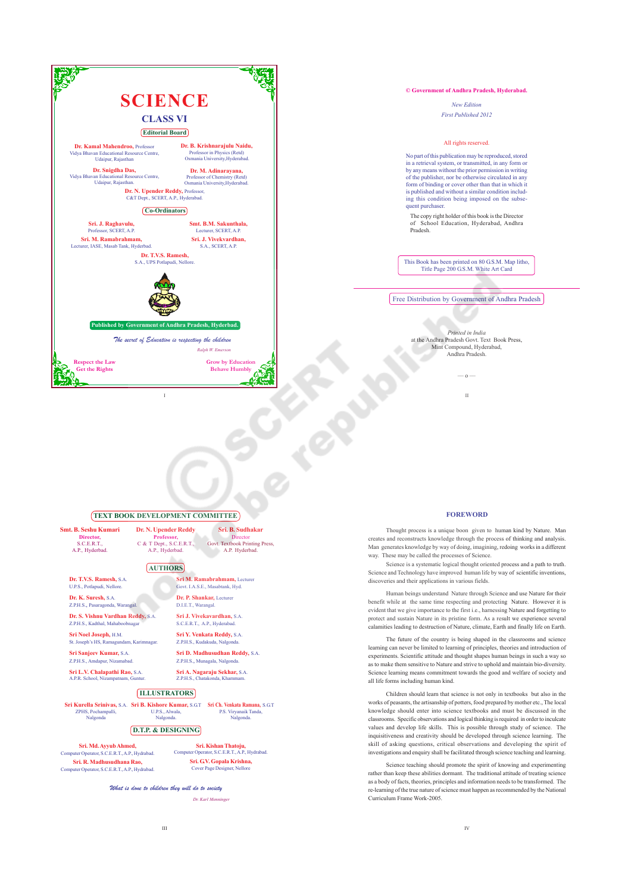

## **© Government of Andhra Pradesh, Hyderabad.**

*New Edition First Published 2012*

## All rights reserved.

No part of this publication may be reproduced, stored in a retrieval system, or transmitted, in any form or by any means without the prior permission in writing of the publisher, nor be otherwise circulated in any form of binding or cover other than that in which it is published and without a similar condition including this condition being imposed on the subsequent purchaser.

The copy right holder of this book is the Director of School Education, Hyderabad, Andhra Pradesh.

This Book has been printed on 80 G.S.M. Map litho, Title Page 200 G.S.M. White Art Card

Free Distribution by Government of Andhra Pradesh

*Printed in India* at the Andhra Pradesh Govt. Text Book Press, Mint Compound, Hyderabad, Andhra Pradesh.

II

–– o ––

## **TEXT BOOK DEVELOPMENT COMMITTEE**

**Smt. B. Seshu Kumari Director,** S.C.E.R.T. A.P., Hyderbad.

**Dr. N. Upender Reddy** Professor,<br>
C & T Dept., S.C.E.R.T.,<br>
A.P., Hyderbad.

## **AUTHORS**

**Dr. T.V.S. Ramesh,** S.A. U.P.S., Potlapudi, Nellore.

**Dr. K. Suresh,** S.A. Z.P.H.S., Pasaragonda, Warangal.

**Dr. S. Vishnu Vardhan Reddy,** S.A.

Z.P.H.S., Kadthal, Mahaboobnaga **Sri Noel Joseph,** H.M.

St. Joseph's HS, Ramagundam, Karimnagar.

**Sri Sanjeev Kumar,** S.A. **Amdapur**, Niza

**Sri L.V. Chalapathi Rao,** S.A. A.P.R. School, Nizampatnam, Guntur.

**ILLUSTRATORS**

**Sri B. Kishore Kumar, S.G.T**<br>U.P.S., Alwala,<br>Nalgonda. **Sri Kurella Srinivas,** S.A. ZPHS, Pochampalli, Nalgonda

**D.T.P. & DESIGNING**

**Sri. Md. Ayyub Ahmed,** or a main cy y do mainted;<br>witer Operator, S.C.E.R.T., A.P., Hydrabad.

**Sri. R. Madhusudhana Rao,** Computer Operator, S.C.E.R.T., A.P., Hydrabad. **Sri. G.V. Gopala Krishna,** Cover Page Designer, Nellore

Communication, S.C.E.R.T., A.P., Hydrabad.

**Sri Ch. Venkata Ramana,** S.G.T P.S. Viryanaik Tanda, Nalgonda.

**Sri. Kishan Thatoju,**<br>Computer Operator, S.C.E.R.T. A.R.

**Sri M. Ramabrahmam,** Lecturer Govt. I.A.S.E., Masabtank, Hyd. **Dr. P. Shankar,** Lecturer D.I.E.T., Warangal. **Sri J. Vivekavardhan,** S.A. S.C.E.R.T., A.P., Hyderabad. **Sri Y. Venkata Reddy,** S.A. Z.P.H.S., Kudakuda, Nala **Sri D. Madhusudhan Reddy,** S.A. Z.P.H.S., Munagala, Nalgonda **Sri A. Nagaraju Sekhar,** S.A. Z.P.H.S., Chatakonda, Khammam.

**Sri. B. Sudhakar** Director Govt. Textbook Printing Press, A.P. Hyderbad.

What is done to children they will do to society

*Dr. Karl Menninger*

## **FOREWORD**

Thought process is a unique boon given to human kind by Nature. Man creates and reconstructs knowledge through the process of thinking and analysis. Man generates knowledge by way of doing, imagining, redoing works in a different way. These may be called the processes of Science.

Science is a systematic logical thought oriented process and a path to truth. Science and Technology have improved human life by way of scientific inventions. discoveries and their applications in various fields.

Human beings understand Nature through Science and use Nature for their benefit while at the same time respecting and protecting Nature. However it is evident that we give importance to the first i.e., harnessing Nature and forgetting to protect and sustain Nature in its pristine form. As a result we experience several calamities leading to destruction of Nature, climate, Earth and finally life on Earth.

The future of the country is being shaped in the classrooms and science learning can never be limited to learning of principles, theories and introduction of experiments. Scientific attitude and thought shapes human beings in such a way so as to make them sensitive to Nature and strive to uphold and maintain bio-diversity. Science learning means commitment towards the good and welfare of society and all life forms including human kind.

Children should learn that science is not only in textbooks but also in the works of peasants, the artisanship of potters, food prepared by mother etc., The local knowledge should enter into science textbooks and must be discussed in the classrooms. Specific observations and logical thinking is required in order to inculcate values and develop life skills. This is possible through study of science. The inquisitiveness and creativity should be developed through science learning. The skill of asking questions, critical observations and developing the spirit of investigations and enquiry shall be facilitated through science teaching and learning.

Science teaching should promote the spirit of knowing and experimenting rather than keep these abilities dormant. The traditional attitude of treating science as a body of facts, theories, principles and information needs to be transformed. The re-learning of the true nature of science must happen as recommended by the National Curriculum Frame Work-2005.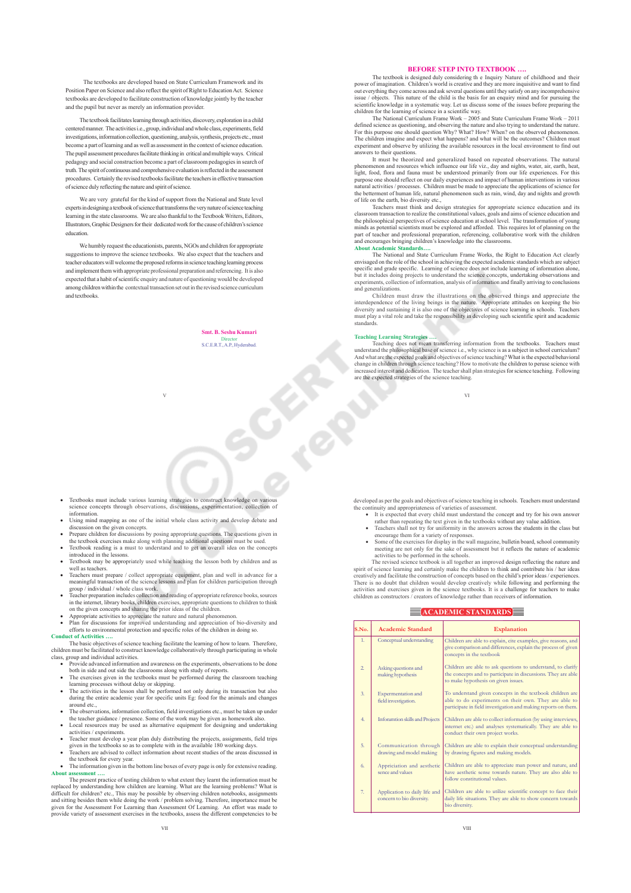The textbooks are developed based on State Curriculum Framework and its Position Paper on Science and also reflect the spirit of Right to Education Act. Science textbooks are developed to facilitate construction of knowledge jointly by the teacher and the pupil but never as merely an information provider.

The textbook facilitates learning through activities, discovery, exploration in a child centered manner. The activities i.e., group, individual and whole class, experiments, field investigations, information collection, questioning, analysis, synthesis, projects etc., must become a part of learning and as well as assessment in the context of science education. The pupil assessment procedures facilitate thinking in critical and multiple ways. Critical pedagogy and social construction become a part of classroom pedagogies in search of truth. The spirit of continuous and comprehensive evaluation is reflected in the assessment procedures. Certainly the revised textbooks facilitate the teachers in effective transaction of science duly reflecting the nature and spirit of science.

We are very grateful for the kind of support from the National and State level experts in designing a textbook of science that transforms the very nature of science teaching learning in the state classrooms. We are also thankful to the Textbook Writers, Editors, Illustrators, Graphic Designers for their dedicated work for the cause of children's science education.

We humbly request the educationists, parents, NGOs and children for appropriate suggestions to improve the science textbooks. We also expect that the teachers and teacher educators will welcome the proposed reforms in science teaching learning process and implement them with appropriate professional preparation and referencing. It is also expected that a habit of scientific enquiry and nature of questioning would be developed among children within the contextual transaction set out in the revised science curriculum and textbooks.

V

**Smt. B. Seshu Kumari** Director S.C.E.R.T., A.P., Hyderabad.

**BEFORE STEP INTO TEXTBOOK** ....<br>The textbook is designed duly considering the Inquiry Nature of childhood and their<br>power of imagination. Children's world is creative and they are more inquisitive and want to find<br>out eve

children for the learning of science in a scientific way.<br>The National Curriculum Frame Work – 2011<br>defined science as questioning, and observing the nature and also trying to understand the nature. For this purpose one should question Why? What? How? When? on the observed phenomenon.<br>The children imagine and expect what happens? and what will be the outcomes? Children must<br>experiment and observe by utilizing the avai answers to their questions.

It must be theorized and generalized based on repeated observations. The natural<br>phenomenon and resources which influence our life viz., day and nights, water, air, earth, heat,<br>light, food, flora and fauna must be underst purpose one should reflect on our daily experiences and impact of human interventions in various<br>natural activities / processes. Children must be made to appreciate the applications of science for<br>the betterment of human l of life on the earth, bio diversity etc.,

Teachers must think and design strategies for appropriate science education and its<br>classroom transaction to realize the constitutional values, goals and aims of science education and<br>the philosophical perspectives of scie minds as potential scientists must be explored and afforded. This requires lot of planning on the<br>part of teacher and professional preparation, referencing, collaborative work with the children<br>and encourages bringing chil

The National and State Curriculum Frame Works, the Right to Education Act clearly envisaged on the role of the school in achieving the expected academic standards which are subject specific and grade specific. Learning of science does not include learning of information alone, but it includes doing projects to understand the science concepts, undertaking observations and experiments, collection of information, analysis of information and finally arriving to conclusions and generalizations.

Children must draw the illustrations on the observed things and appreciate the<br>interdependence of the living beings in the nature. Appropriate attitudes on keeping the bio<br>diversity and sustaining it is also one of the obj standards.

### **Teaching Learning Strategies ….**

Teaching does not mean transferring information from the textbooks. Teachers must<br>understand the philosophical base of science i.e., why science is as a subject in school curriculum?<br>And what are the expected goals and obj increased interest and dedication. The teacher shall plan strategies for science teaching. Following are the expected strategies of the science teaching.

VI

- Textbooks must include various learning strategies to construct knowledge on various science concepts through observations, discussions, experimentation, collection of information.
- Using mind mapping as one of the initial whole class activity and develop debate and
- discussion on the given concepts.<br>• Prepare children for discussions by posing appropriate questions. The questions given in
- the textbook exercises make along with planning additional questions must be used.<br>• Textbook reading is a must to understand and to get an overall idea on the concepts
- introduced in the lessons.<br>
 Textbook may be appropriately used while teaching the lesson both by children and as<br>
well as teachers.
- x Teachers must prepare / collect appropriate equipment, plan and well in advance for a meaningful transaction of the science lessons and plan for children participation through
- group / individual / whole class work.<br>• Teacher preparation includes collection and reading of appropriate reference books, sources<br>• in the internet, library books, children exercises, appropriate questions to children
- 
- x Plan for discussions for improved understanding and appreciation of bio-diversity and efforts to environmental protection and specific roles of the children in doing so. **Conduct of Activities ….**

The basic objectives of science teaching facilitate the learning of how to learn. Therefore, children must be facilitated to construct knowledge collaboratively through participating in whole

- class, group and individual activities.<br>• Provide advanced information and awareness on the experiments, observations to be done
- both in side and out side the classrooms along with study of reports.<br>• The exercises given in the textbooks must be performed during the classroom teaching learning processes without delay or skipping.
- The activities in the lesson shall be performed not only during its transaction but also during the entire academic year for specific units Eg: food for the animals and changes
- around etc., x The observations, information collection, field investigations etc., must be taken up under the teacher guidance / presence. Some of the work may be given as homework also
- x Local resources may be used as alternative equipment for designing and undertaking activities / experiments.
- Teacher must develop a year plan duly distributing the projects, assignments, field trips
- given in the textbooks so as to complete with in the available 180 working days.<br>
 Teachers are advised to collect information about recent studies of the areas discussed in<br>
the textbook for every year.
- The information given in the bottom line boxes of every page is only for extensive reading. **About assessment ….**

The present practice of testing children to what extent they learnt the information must be replaced by understanding how children are learning. What are the learning problems? What is difficult for children? etc., This may be possible by observing children notebooks, assignments and sitting besides them while doing the work / problem solving. Therefore, importance must be given for the Assessment For Learning than Assessment Of Learning. An effort was made to provide variety of assessment exercises in the textbooks, assess the different competencies to be developed as per the goals and objectives of science teaching in schools. Teachers must understand

- the continuity and appropriateness of varieties of assessment.<br>• It is expected that every child must understand the concept and try for his own answer<br>tather than repeating the text given in the textbooks without any valu
	- Teachers shall not try for uniformity in the answers across the students in the class but<br>encourage them for a variety of responses.<br>• Some of the exercises for display in the wall magazine, bulletin board, school commun meeting are not only for the sake of assessment but it reflects the nature of academic

activities to be performed in the schools.<br>The revised science textbook is all together an improved design reflecting the nature and<br>spirit of science learning and certainly make the children to think and contribute his / creatively and facilitate the construction of concepts based on the child's prior ideas / experiences.<br>There is no doubt that children would develop creatively while following and performing the<br>activities and exercises gi children as constructors / creators of knowledge rather than receivers of information.

## **ACADEMIC STANDARDS**

| S.No.          | Academic Standard                                          | <b>Explanation</b>                                                                                                                                                                   |
|----------------|------------------------------------------------------------|--------------------------------------------------------------------------------------------------------------------------------------------------------------------------------------|
| $\mathbf{1}$ . | Conceptual understanding                                   | Children are able to explain, cite examples, give reasons, and<br>give comparison and differences, explain the process of given<br>concepts in the textbook                          |
| $\overline{2}$ | Asking questions and<br>making hypothesis                  | Children are able to ask questions to understand, to clarify<br>the concepts and to participate in discussions. They are able<br>to make hypothesis on given issues.                 |
| 3.             | Expermentation and<br>field investigation.                 | To understand given concepts in the textbook children are<br>able to do experiments on their own. They are able to<br>participate in field investigation and making reports on them. |
| 4.             | Inforamtion skills and Projects                            | Children are able to collect information (by using interviews,<br>internet etc.) and analyses systematically. They are able to<br>conduct their own project works.                   |
| 5.             | Communication through<br>drawing and model making          | Children are able to explain their conceptual understanding<br>by drawing figures and making models.                                                                                 |
| 6.             | Appriciation and aesthetic<br>sence and values             | Children are able to appreciate man power and nature, and<br>have aesthetic sense towards nature. They are also able to<br>follow constitutional values.                             |
| 7.             | Application to daily life and<br>concern to bio diversity. | Children are able to utilize scientific concept to face their<br>daily life situations. They are able to show concern towards<br>bio diversity.                                      |